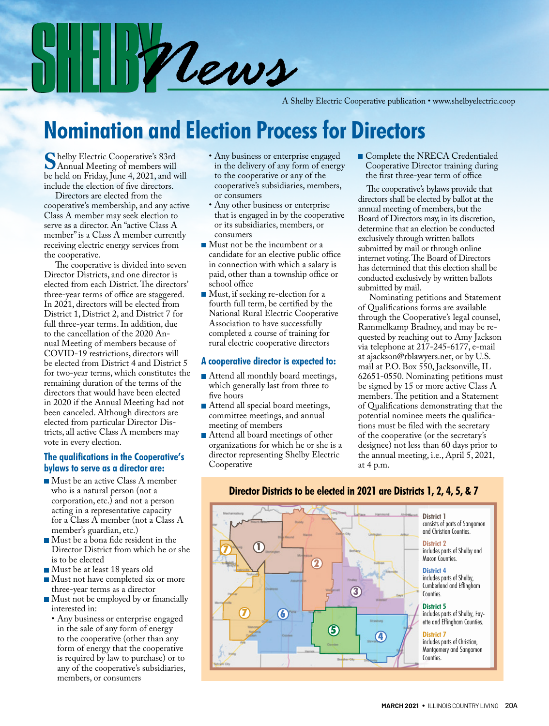S Hill Mews

A Shelby Electric Cooperative publication • www.shelbyelectric.coop

### **Nomination and Election Process for Directors**

**S**helby Electric Cooperative's 83rd Annual Meeting of members will be held on Friday, June 4, 2021, and will include the election of five directors.

Directors are elected from the cooperative's membership, and any active Class A member may seek election to serve as a director. An "active Class A member" is a Class A member currently receiving electric energy services from the cooperative.

The cooperative is divided into seven Director Districts, and one director is elected from each District. The directors' three-year terms of office are staggered. In 2021, directors will be elected from District 1, District 2, and District 7 for full three-year terms. In addition, due to the cancellation of the 2020 Annual Meeting of members because of COVID-19 restrictions, directors will be elected from District 4 and District 5 for two-year terms, which constitutes the remaining duration of the terms of the directors that would have been elected in 2020 if the Annual Meeting had not been canceled. Although directors are elected from particular Director Districts, all active Class A members may vote in every election.

#### **The qualifications in the Cooperative's bylaws to serve as a director are:**

- Must be an active Class A member who is a natural person (not a corporation, etc.) and not a person acting in a representative capacity for a Class A member (not a Class A member's guardian, etc.)
- Must be a bona fide resident in the Director District from which he or she is to be elected
- Must be at least 18 years old
- Must not have completed six or more three-year terms as a director
- Must not be employed by or financially interested in:
	- Any business or enterprise engaged in the sale of any form of energy to the cooperative (other than any form of energy that the cooperative is required by law to purchase) or to any of the cooperative's subsidiaries, members, or consumers
- Any business or enterprise engaged in the delivery of any form of energy to the cooperative or any of the cooperative's subsidiaries, members, or consumers
- Any other business or enterprise that is engaged in by the cooperative or its subsidiaries, members, or consumers
- Must not be the incumbent or a candidate for an elective public office in connection with which a salary is paid, other than a township office or school office
- Must, if seeking re-election for a fourth full term, be certified by the National Rural Electric Cooperative Association to have successfully completed a course of training for rural electric cooperative directors

#### **A cooperative director is expected to:**

- Attend all monthly board meetings, which generally last from three to five hours
- Attend all special board meetings, committee meetings, and annual meeting of members
- Attend all board meetings of other organizations for which he or she is a director representing Shelby Electric Cooperative

Complete the NRECA Credentialed Cooperative Director training during the first three-year term of office

The cooperative's bylaws provide that directors shall be elected by ballot at the annual meeting of members, but the Board of Directors may, in its discretion, determine that an election be conducted exclusively through written ballots submitted by mail or through online internet voting. The Board of Directors has determined that this election shall be conducted exclusively by written ballots submitted by mail.

Nominating petitions and Statement of Qualifications forms are available through the Cooperative's legal counsel, Rammelkamp Bradney, and may be requested by reaching out to Amy Jackson via telephone at 217-245-6177, e-mail at ajackson@rblawyers.net, or by U.S. mail at P.O. Box 550, Jacksonville, IL 62651-0550. Nominating petitions must be signed by 15 or more active Class A members. The petition and a Statement of Qualifications demonstrating that the potential nominee meets the qualifications must be filed with the secretary of the cooperative (or the secretary's designee) not less than 60 days prior to the annual meeting, i.e., April 5, 2021, at 4 p.m.



#### **Director Districts to be elected in 2021 are Districts 1, 2, 4, 5, & 7**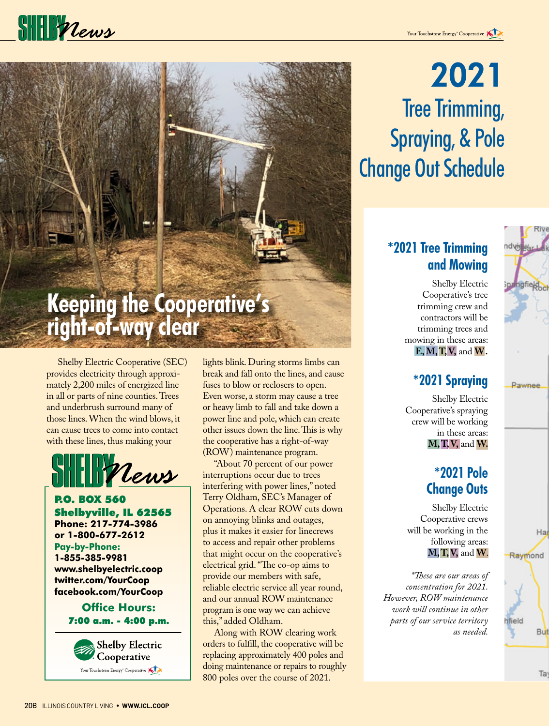## $\frac{1}{2}$

# **Keeping the Cooperative's right-of-way clear**

Shelby Electric Cooperative (SEC) provides electricity through approximately 2,200 miles of energized line in all or parts of nine counties. Trees and underbrush surround many of those lines. When the wind blows, it can cause trees to come into contact with these lines, thus making your



P.O. BOX 560 Shelbyville, IL 62565 **Phone: 217-774-3986 or 1-800-677-2612 Pay-by-Phone: 1-855-385-9981 www.shelbyelectric.coop twitter.com/YourCoop facebook.com/YourCoop**

#### **Office Hours:** 7:00 a.m. - 4:00 p.m.



lights blink. During storms limbs can break and fall onto the lines, and cause fuses to blow or reclosers to open. Even worse, a storm may cause a tree or heavy limb to fall and take down a power line and pole, which can create other issues down the line. This is why the cooperative has a right-of-way (ROW) maintenance program.

"About 70 percent of our power interruptions occur due to trees interfering with power lines," noted Terry Oldham, SEC's Manager of Operations. A clear ROW cuts down on annoying blinks and outages, plus it makes it easier for linecrews to access and repair other problems that might occur on the cooperative's electrical grid. "The co-op aims to provide our members with safe, reliable electric service all year round, and our annual ROW maintenance program is one way we can achieve this," added Oldham.

Along with ROW clearing work orders to fulfill, the cooperative will be replacing approximately 400 poles and doing maintenance or repairs to roughly 800 poles over the course of 2021.

## 2021 Tree Trimming, Spraying, & Pole Change Out Schedule

### **\*2021 Tree Trimming and Mowing**

Shelby Electric Cooperative's tree trimming crew and contractors will be trimming trees and mowing in these areas: **E, M, T, V,** and **W .**

### **\*2021 Spraying**

Shelby Electric Cooperative's spraying crew will be working in these areas: **M, T, V,** and **W.**

### **\*2021 Pole Change Outs**

Shelby Electric Cooperative crews will be working in the following areas: **M, T, V,** and **W**.

*\*These are our areas of concentration for 2021. However, ROW maintenance work will continue in other parts of our service territory as needed.*



Raymond hfield **But**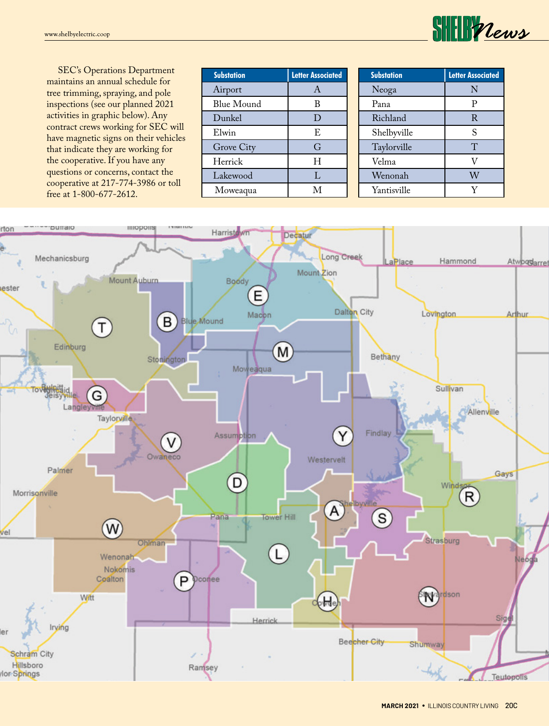

SEC's Operations Department maintains an annual schedule for tree trimming, spraying, and pole inspections (see our planned 2021 activities in graphic below). Any contract crews working for SEC will have magnetic signs on their vehicles that indicate they are working for the cooperative. If you have any questions or concerns, contact the cooperative at 217-774-3986 or toll free at 1-800-677-2612.

| <b>Substation</b> | <b>Letter Associated</b> |
|-------------------|--------------------------|
| Airport           | A                        |
| <b>Blue Mound</b> | В                        |
| Dunkel            | D                        |
| Elwin             | E                        |
| Grove City        | G                        |
| Herrick           | Н                        |
| Lakewood          | L                        |
| Moweaqua          | М                        |

| <b>Substation</b> | <b>Letter Associated</b> |
|-------------------|--------------------------|
| Neoga             | N                        |
| Pana              | P                        |
| Richland          | R                        |
| Shelbyville       | S                        |
| Taylorville       | T                        |
| Velma             | V                        |
| Wenonah           | W                        |
| Yantisville       | V                        |